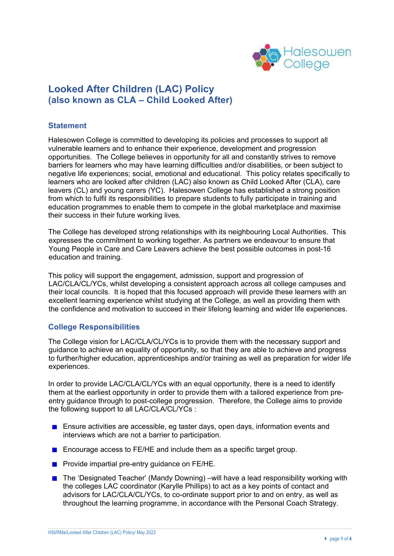

# **Looked After Children (LAC) Policy (also known as CLA – Child Looked After)**

## **Statement**

Halesowen College is committed to developing its policies and processes to support all vulnerable learners and to enhance their experience, development and progression opportunities. The College believes in opportunity for all and constantly strives to remove barriers for learners who may have learning difficulties and/or disabilities, or been subject to negative life experiences; social, emotional and educational. This policy relates specifically to learners who are looked after children (LAC) also known as Child Looked After (CLA), care leavers (CL) and young carers (YC). Halesowen College has established a strong position from which to fulfil its responsibilities to prepare students to fully participate in training and education programmes to enable them to compete in the global marketplace and maximise their success in their future working lives.

The College has developed strong relationships with its neighbouring Local Authorities. This expresses the commitment to working together. As partners we endeavour to ensure that Young People in Care and Care Leavers achieve the best possible outcomes in post-16 education and training.

This policy will support the engagement, admission, support and progression of LAC/CLA/CL/YCs, whilst developing a consistent approach across all college campuses and their local councils. It is hoped that this focused approach will provide these learners with an excellent learning experience whilst studying at the College, as well as providing them with the confidence and motivation to succeed in their lifelong learning and wider life experiences.

## **College Responsibilities**

The College vision for LAC/CLA/CL/YCs is to provide them with the necessary support and guidance to achieve an equality of opportunity, so that they are able to achieve and progress to further/higher education, apprenticeships and/or training as well as preparation for wider life experiences.

In order to provide LAC/CLA/CL/YCs with an equal opportunity, there is a need to identify them at the earliest opportunity in order to provide them with a tailored experience from preentry guidance through to post-college progression. Therefore, the College aims to provide the following support to all LAC/CLA/CL/YCs :

- **Ensure activities are accessible, eg taster days, open days, information events and** interviews which are not a barrier to participation.
- Encourage access to FE/HE and include them as a specific target group.
- **Provide impartial pre-entry guidance on FE/HE.**
- The 'Designated Teacher' (Mandy Downing) –will have a lead responsibility working with the colleges LAC coordinator (Karylle Phillips) to act as a key points of contact and advisors for LAC/CLA/CL/YCs, to co-ordinate support prior to and on entry, as well as throughout the learning programme, in accordance with the Personal Coach Strategy.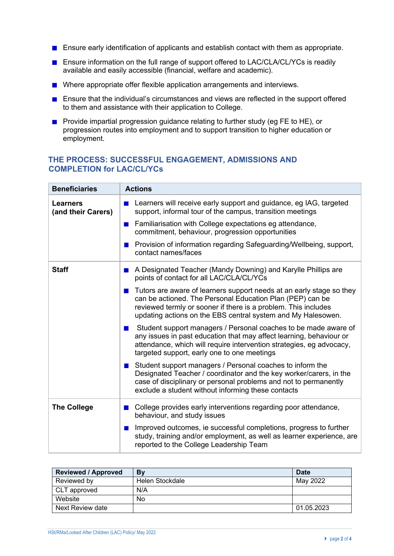- **E** Ensure early identification of applicants and establish contact with them as appropriate.
- Ensure information on the full range of support offered to LAC/CLA/CL/YCs is readily available and easily accessible (financial, welfare and academic).
- Where appropriate offer flexible application arrangements and interviews.
- **E** Ensure that the individual's circumstances and views are reflected in the support offered to them and assistance with their application to College.
- **Provide impartial progression guidance relating to further study (eg FE to HE), or** progression routes into employment and to support transition to higher education or employment.

## **THE PROCESS: SUCCESSFUL ENGAGEMENT, ADMISSIONS AND COMPLETION for LAC/CL/YCs**

| <b>Beneficiaries</b>                  | <b>Actions</b>                                                                                                                                                                                                                                                                        |  |
|---------------------------------------|---------------------------------------------------------------------------------------------------------------------------------------------------------------------------------------------------------------------------------------------------------------------------------------|--|
| <b>Learners</b><br>(and their Carers) | Learners will receive early support and guidance, eg IAG, targeted<br><b>Contract</b><br>support, informal tour of the campus, transition meetings                                                                                                                                    |  |
|                                       | Familiarisation with College expectations eg attendance,<br>$\blacksquare$<br>commitment, behaviour, progression opportunities                                                                                                                                                        |  |
|                                       | Provision of information regarding Safeguarding/Wellbeing, support,<br>ш<br>contact names/faces                                                                                                                                                                                       |  |
| <b>Staff</b>                          | A Designated Teacher (Mandy Downing) and Karylle Phillips are<br>$\blacksquare$<br>points of contact for all LAC/CLA/CL/YCs                                                                                                                                                           |  |
|                                       | Tutors are aware of learners support needs at an early stage so they<br>$\blacksquare$<br>can be actioned. The Personal Education Plan (PEP) can be<br>reviewed termly or sooner if there is a problem. This includes<br>updating actions on the EBS central system and My Halesowen. |  |
|                                       | Student support managers / Personal coaches to be made aware of<br>ш<br>any issues in past education that may affect learning, behaviour or<br>attendance, which will require intervention strategies, eg advocacy,<br>targeted support, early one to one meetings                    |  |
|                                       | Student support managers / Personal coaches to inform the<br><b>The Second</b><br>Designated Teacher / coordinator and the key worker/carers, in the<br>case of disciplinary or personal problems and not to permanently<br>exclude a student without informing these contacts        |  |
| <b>The College</b>                    | College provides early interventions regarding poor attendance,<br><b>The Second Second</b><br>behaviour, and study issues                                                                                                                                                            |  |
|                                       | Improved outcomes, ie successful completions, progress to further<br>m.<br>study, training and/or employment, as well as learner experience, are<br>reported to the College Leadership Team                                                                                           |  |

| <b>Reviewed / Approved</b> | By              | <b>Date</b> |
|----------------------------|-----------------|-------------|
| Reviewed by                | Helen Stockdale | May 2022    |
| CLT approved               | N/A             |             |
| Website                    | No              |             |
| Next Review date           |                 | 01.05.2023  |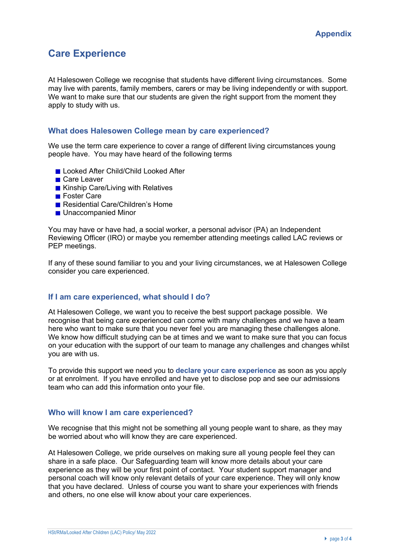# **Care Experience**

At Halesowen College we recognise that students have different living circumstances. Some may live with parents, family members, carers or may be living independently or with support. We want to make sure that our students are given the right support from the moment they apply to study with us.

### **What does Halesowen College mean by care experienced?**

We use the term care experience to cover a range of different living circumstances young people have. You may have heard of the following terms

- **Looked After Child/Child Looked After**
- Care Leaver
- Kinship Care/Living with Relatives
- **■** Foster Care
- Residential Care/Children's Home
- **Unaccompanied Minor**

You may have or have had, a social worker, a personal advisor (PA) an Independent Reviewing Officer (IRO) or maybe you remember attending meetings called LAC reviews or PEP meetings.

If any of these sound familiar to you and your living circumstances, we at Halesowen College consider you care experienced.

### **If I am care experienced, what should I do?**

At Halesowen College, we want you to receive the best support package possible. We recognise that being care experienced can come with many challenges and we have a team here who want to make sure that you never feel you are managing these challenges alone. We know how difficult studying can be at times and we want to make sure that you can focus on your education with the support of our team to manage any challenges and changes whilst you are with us.

To provide this support we need you to **declare your care experience** as soon as you apply or at enrolment. If you have enrolled and have yet to disclose pop and see our admissions team who can add this information onto your file.

#### **Who will know I am care experienced?**

We recognise that this might not be something all young people want to share, as they may be worried about who will know they are care experienced.

At Halesowen College, we pride ourselves on making sure all young people feel they can share in a safe place. Our Safeguarding team will know more details about your care experience as they will be your first point of contact. Your student support manager and personal coach will know only relevant details of your care experience. They will only know that you have declared. Unless of course you want to share your experiences with friends and others, no one else will know about your care experiences.